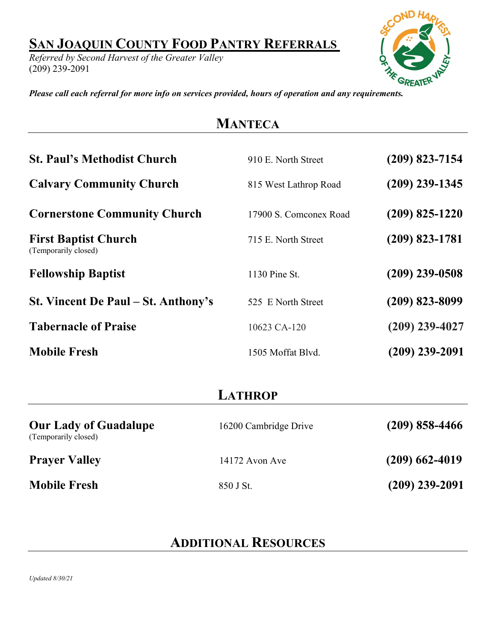## **SAN JOAQUIN COUNTY FOOD PANTRY REFERRALS**

*Referred by Second Harvest of the Greater Valley* (209) 239-2091



*Please call each referral for more info on services provided, hours of operation and any requirements.*

## **MANTECA**

| <b>St. Paul's Methodist Church</b>                  | 910 E. North Street    | (209) 823-7154   |
|-----------------------------------------------------|------------------------|------------------|
| <b>Calvary Community Church</b>                     | 815 West Lathrop Road  | $(209)$ 239-1345 |
| <b>Cornerstone Community Church</b>                 | 17900 S. Comconex Road | $(209)$ 825-1220 |
| <b>First Baptist Church</b><br>(Temporarily closed) | 715 E. North Street    | $(209)$ 823-1781 |
| <b>Fellowship Baptist</b>                           | 1130 Pine St.          | (209) 239-0508   |
| St. Vincent De Paul – St. Anthony's                 | 525 E North Street     | (209) 823-8099   |
| <b>Tabernacle of Praise</b>                         | 10623 CA-120           | $(209)$ 239-4027 |
| <b>Mobile Fresh</b>                                 | 1505 Moffat Blyd.      | (209) 239-2091   |

## **LATHROP**

| <b>Our Lady of Guadalupe</b><br>(Temporarily closed) | 16200 Cambridge Drive | $(209)$ 858-4466 |
|------------------------------------------------------|-----------------------|------------------|
| <b>Prayer Valley</b>                                 | $14172$ Avon Ave      | $(209)$ 662-4019 |
| <b>Mobile Fresh</b>                                  | 850 J St.             | $(209)$ 239-2091 |

## **ADDITIONAL RESOURCES**